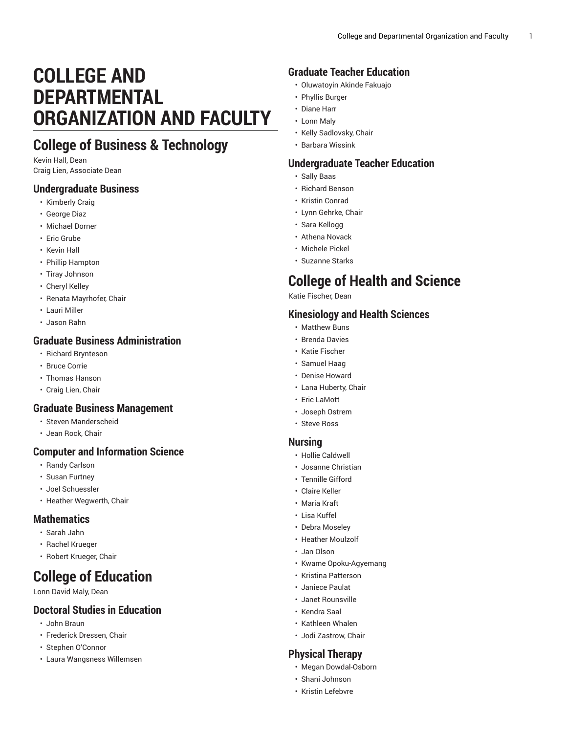# **COLLEGE AND DEPARTMENTAL ORGANIZATION AND FACULTY**

# **College of Business & Technology**

Kevin Hall, Dean Craig Lien, Associate Dean

#### **Undergraduate Business**

- Kimberly Craig
- George Diaz
- Michael Dorner
- Eric Grube
- Kevin Hall
- Phillip Hampton
- Tiray Johnson
- Cheryl Kelley
- Renata Mayrhofer, Chair
- Lauri Miller
- Jason Rahn

### **Graduate Business Administration**

- Richard Brynteson
- Bruce Corrie
- Thomas Hanson
- Craig Lien, Chair

### **Graduate Business Management**

- Steven Manderscheid
- Jean Rock, Chair

### **Computer and Information Science**

- Randy Carlson
- Susan Furtney
- Joel Schuessler
- Heather Wegwerth, Chair

#### **Mathematics**

- Sarah Jahn
- Rachel Krueger
- Robert Krueger, Chair

# **College of Education**

Lonn David Maly, Dean

#### **Doctoral Studies in Education**

- John Braun
- Frederick Dressen, Chair
- Stephen O'Connor
- Laura Wangsness Willemsen

### **Graduate Teacher Education**

- Oluwatoyin Akinde Fakuajo
- Phyllis Burger
- Diane Harr
- Lonn Maly
- Kelly Sadlovsky, Chair
- Barbara Wissink

#### **Undergraduate Teacher Education**

- Sally Baas
- Richard Benson
- Kristin Conrad
- Lynn Gehrke, Chair
- Sara Kellogg
- Athena Novack
- Michele Pickel
- Suzanne Starks

# **College of Health and Science**

Katie Fischer, Dean

### **Kinesiology and Health Sciences**

- Matthew Buns
- Brenda Davies
- Katie Fischer
- Samuel Haag
- Denise Howard
- Lana Huberty, Chair
- Eric LaMott
- Joseph Ostrem
- Steve Ross

#### **Nursing**

- Hollie Caldwell
- Josanne Christian
- Tennille Gifford
- Claire Keller
- Maria Kraft
- Lisa Kuffel
- Debra Moseley
- Heather Moulzolf
- Jan Olson
- Kwame Opoku-Agyemang
- Kristina Patterson
- Janiece Paulat
- Janet Rounsville
- Kendra Saal
- Kathleen Whalen
- Jodi Zastrow, Chair

### **Physical Therapy**

- Megan Dowdal-Osborn
- Shani Johnson
- Kristin Lefebvre